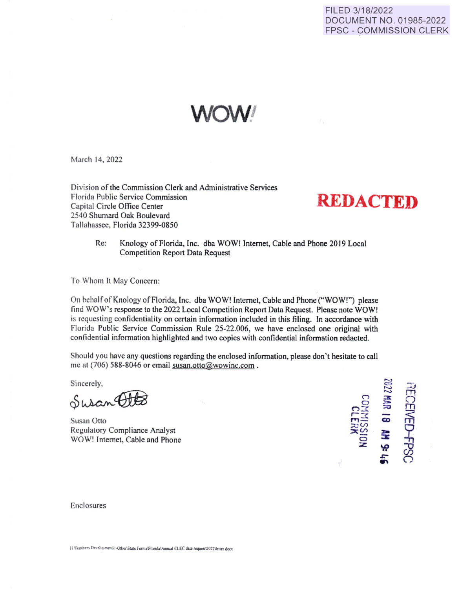## FILED 3/18/2022 DOCUMENT NO. 01985-2022 FPSC - COMMISSION CLERK

**WOW!** 

March 14, 2022

Division of the Commission Clerk and Administrative Services Florida Public Service Commission Florida Public Service Commission<br>
Capital Circle Office Center **REDACTED** 2540 Shumard Oak Boulevard Tallahassee, Florida 32399-0850

Re: Knology of Florida, Inc. dba WOW! Internet, Cable and Phone 2019 Local Competition Report Data Request

To Whom It May Concern:

On behalf of Knology of Florida, Inc. dba WOW! Internet, Cable and Phone ("WOW!") please find WOW's response to the 2022 Local Competition Report Data Request. Please note WOW! is requesting confidentiality on certain infonnation included in this filing. fn accordance with Florida Public Service Commission Rule 25-22.006, we have enclosed one original with confidential information highlighted and two copies with confidential information redacted.

Should you have any questions regarding the enclosed information, please don't hesitate to call me at (706) 588-8046 or email susan.otto@wowinc.com.

Sincerely,

 $Sineerely,$ <br> $Suban 4002$ 

Susan Otto  $\overrightarrow{m}$ Regulatory Compliance Analyst WOW! Internet, Cable and Phone



Enclosures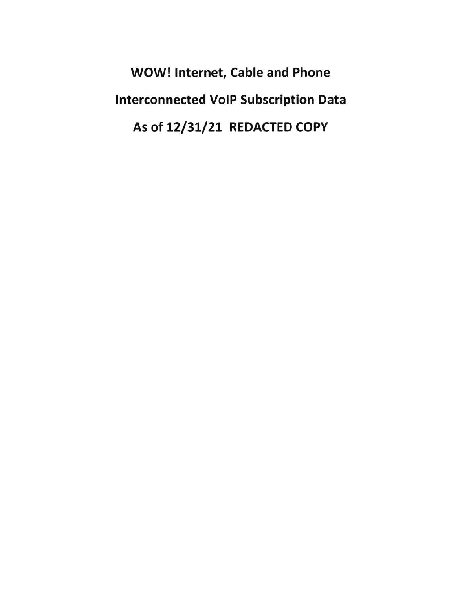WOW! Internet, Cable and Phone Interconnected VoIP Subscription Data As of 12/31/21 REDACTED COPY